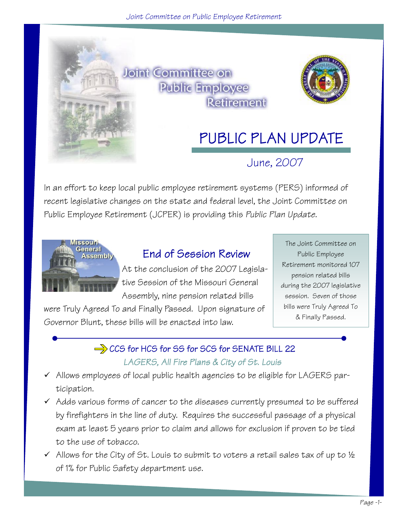

In an effort to keep local public employee retirement systems (PERS) informed of recent legislative changes on the state and federal level, the Joint Committee on Public Employee Retirement (JCPER) is providing this *Public Plan Update*.



### End of Session Review

At the conclusion of the 2007 Legislative Session of the Missouri General Assembly, nine pension related bills

were Truly Agreed To and Finally Passed. Upon signature of Governor Blunt, these bills will be enacted into law.

The Joint Committee on Public Employee Retirement monitored 107 pension related bills during the 2007 legislative session. Seven of those bills were Truly Agreed To & Finally Passed.

## $\Rightarrow$  CCS for HCS for SS for SCS for SENATE BILL 22

#### *LAGERS, All Fire Plans & City of St. Louis*

- $\checkmark$  Allows employees of local public health agencies to be eligible for LAGERS participation.
- $\checkmark$  Adds various forms of cancer to the diseases currently presumed to be suffered by firefighters in the line of duty. Requires the successful passage of a physical exam at least 5 years prior to claim and allows for exclusion if proven to be tied to the use of tobacco.
- $\checkmark$  Allows for the City of St. Louis to submit to voters a retail sales tax of up to  $\frac{1}{2}$ of 1% for Public Safety department use.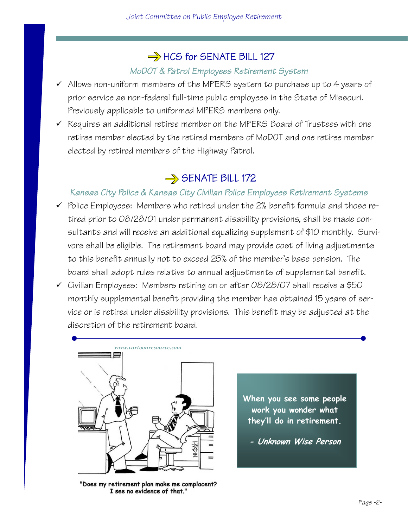### $\Rightarrow$  HCS for SENATE BILL 127

#### *MoDOT & Patrol Employees Retirement System*

- $\checkmark$  Allows non-uniform members of the MPERS system to purchase up to 4 years of prior service as non-federal full-time public employees in the State of Missouri. Previously applicable to uniformed MPERS members only.
- $\checkmark$  Requires an additional retiree member on the MPERS Board of Trustees with one retiree member elected by the retired members of MoDOT and one retiree member elected by retired members of the Highway Patrol.

### $\Rightarrow$  SENATE BILL 172

#### *Kansas City Police & Kansas City Civilian Police Employees Retirement Systems*

- $\checkmark$  Police Employees: Members who retired under the 2% benefit formula and those retired prior to 08/28/01 under permanent disability provisions, shall be made consultants and will receive an additional equalizing supplement of \$10 monthly. Survivors shall be eligible. The retirement board may provide cost of living adjustments to this benefit annually not to exceed 25% of the member's base pension. The board shall adopt rules relative to annual adjustments of supplemental benefit.
- $\checkmark$  Civilian Employees: Members retiring on or after 08/28/07 shall receive a \$50 monthly supplemental benefit providing the member has obtained 15 years of service or is retired under disability provisions. This benefit may be adjusted at the discretion of the retirement board.



"Does my retirement plan make me complacent? I see no evidence of that."

**When you see some people work you wonder what they'll do in retirement.** 

**- Unknown Wise Person**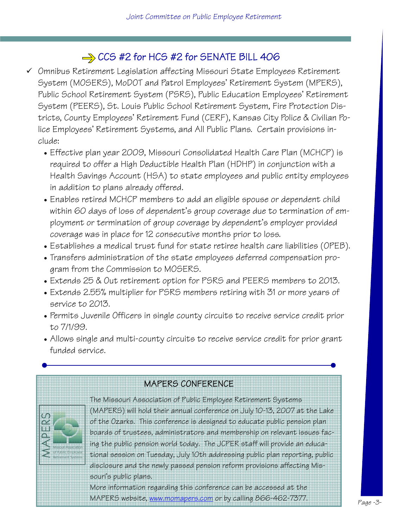### $\Rightarrow$  CCS #2 for HCS #2 for SENATE BILL 406

- $\checkmark$  Omnibus Retirement Legislation affecting Missouri State Employees Retirement System (MOSERS), MoDOT and Patrol Employees' Retirement System (MPERS), Public School Retirement System (PSRS), Public Education Employees' Retirement System (PEERS), St. Louis Public School Retirement System, Fire Protection Districts, County Employees' Retirement Fund (CERF), Kansas City Police & Civilian Police Employees' Retirement Systems, and All Public Plans. Certain provisions include:
	- Effective plan year 2009, Missouri Consolidated Health Care Plan (MCHCP) is required to offer a High Deductible Health Plan (HDHP) in conjunction with a Health Savings Account (HSA) to state employees and public entity employees in addition to plans already offered.
	- Enables retired MCHCP members to add an eligible spouse or dependent child within 60 days of loss of dependent's group coverage due to termination of employment or termination of group coverage by dependent's employer provided coverage was in place for 12 consecutive months prior to loss.
	- Establishes a medical trust fund for state retiree health care liabilities (OPEB).
	- Transfers administration of the state employees deferred compensation program from the Commission to MOSERS.
	- Extends 25 & Out retirement option for PSRS and PEERS members to 2013.
	- Extends 2.55% multiplier for PSRS members retiring with 31 or more years of service to 2013.
	- Permits Juvenile Officers in single county circuits to receive service credit prior to 7/1/99.
	- Allows single and multi-county circuits to receive service credit for prior grant funded service.

### MAPERS CONFERENCE

 The Missouri Association of Public Employee Retirement Systems (MAPERS) will hold their annual conference on July 10-13, 2007 at the Lake of the Ozarks. This conference is designed to educate public pension plan boards of trustees, administrators and membership on relevant issues facing the public pension world today. The JCPER staff will provide an educational session on Tuesday, July 10th addressing public plan reporting, public disclosure and the newly passed pension reform provisions affecting Missouri's public plans.

More inf[ormation regarding t](http://www.momapers.com/)his conference can be accessed at the MAPERS website, www.momapers.com or by calling 866-462-7377.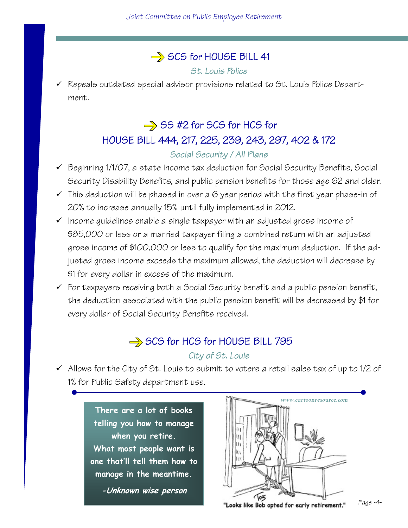### SCS for HOUSE BILL 41

*St. Louis Police* 

 $\checkmark$  Repeals outdated special advisor provisions related to St. Louis Police Department.

# $\Rightarrow$  SS #2 for SCS for HCS for [HOUSE BILL 444, 217, 225, 239, 243, 297, 402 & 172](http://www.house.mo.gov/bills071/biltxt/truly/HB0444T.HTM)

#### *Social Security / All Plans*

- $\checkmark$  Beginning 1/1/07, a state income tax deduction for Social Security Benefits, Social Security Disability Benefits, and public pension benefits for those age 62 and older.
- $\checkmark$  This deduction will be phased in over a 6 year period with the first year phase-in of 20% to increase annually 15% until fully implemented in 2012.
- $\checkmark$  Income guidelines enable a single taxpayer with an adjusted gross income of \$85,000 or less or a married taxpayer filing a combined return with an adjusted gross income of \$100,000 or less to qualify for the maximum deduction. If the adjusted gross income exceeds the maximum allowed, the deduction will decrease by \$1 for every dollar in excess of the maximum.
- $\checkmark$  For taxpayers receiving both a Social Security benefit and a public pension benefit, the deduction associated with the public pension benefit will be decreased by \$1 for every dollar of Social Security Benefits received.

### $\Rightarrow$  SCS for HCS for HOUSE BILL 795 *City of St. Louis*

 $\checkmark$  Allows for the City of St. Louis to submit to voters a retail sales tax of up to 1/2 of 1% for Public Safety department use.

> **There are a lot of books telling you how to manage when you retire. What most people want is one that'll tell them how to manage in the meantime.**

> > **-Unknown wise person**



*Page -4-*  "Looks like Bob opted for early retirement."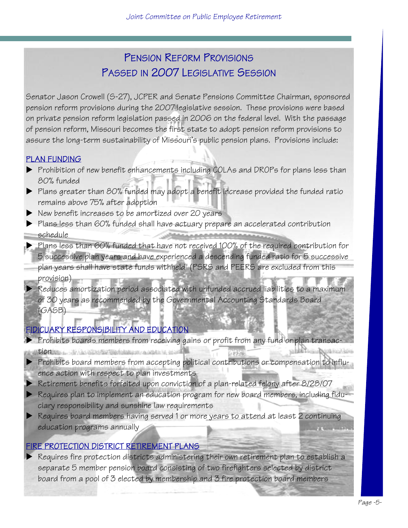### PENSION REFORM PROVISIONS PASSED IN 2007 LEGISLATIVE SESSION

Senator Jason Crowell (S-27), JCPER and Senate Pensions Committee Chairman, sponsored pension reform provisions during the 2007 legislative session. These provisions were based on private pension reform legislation passed in 2006 on the federal level. With the passage of pension reform, Missouri becomes the first state to adopt pension reform provisions to assure the long-term sustainability of Missouri's public pension plans. Provisions include:

#### PLAN FUNDING

- **Prohibition of new benefit enhancements including COLAs and DROPs for plans less than** 80% funded
- $\blacktriangleright$  Plans greater than 80% funded may adopt a benefit increase provided the funded ratio remains above 75% after adoption
- $\blacktriangleright$  New benefit increases to be amortized over 20 years
- Plans less than 60% funded shall have actuary prepare an accelerated contribution schedule
- $\blacktriangleright$  Plans less than 60% funded that have not received 100% of the required contribution for 5 successive plan years and have experienced a descending funded ratio for 5 successive plan years shall have state funds withheld (PSRS and PEERS are excluded from this provision)
- $\blacktriangleright$  Reduces amortization period associated with unfunded accrued liabilities to a maximum of 30 years as recommended by the Governmental Accounting Standards Board (GASB)

#### FIDICUARY RESPONSIBILITY AND EDUCATION

- $\blacktriangleright$  Prohibits boards members from receiving gains or profit from any fund or plan transac-
- **tion**ns La MacMostertian  $\blacktriangleright$  Prohibits board members from accepting political contributions or compensation to influence action with respect to plan investments
- $\blacktriangleright$  Retirement benefits forfeited upon conviction of a plan-related felony after 8/28/07
- $\blacktriangleright$  Requires plan to implement an education program for new board members, including fiduciary responsibility and sunshine law requirements
- $\triangleright$  Requires board members having served 1 or more years to attend at least 2 continuing education programs annually

#### FIRE PROTECTION DISTRICT RETIREMENT PLANS

Requires fire protection districts administering their own retirement plan to establish a separate 5 member pension board consisting of two firefighters selected by district board from a pool of 3 elected by membership and 3 fire protection board members